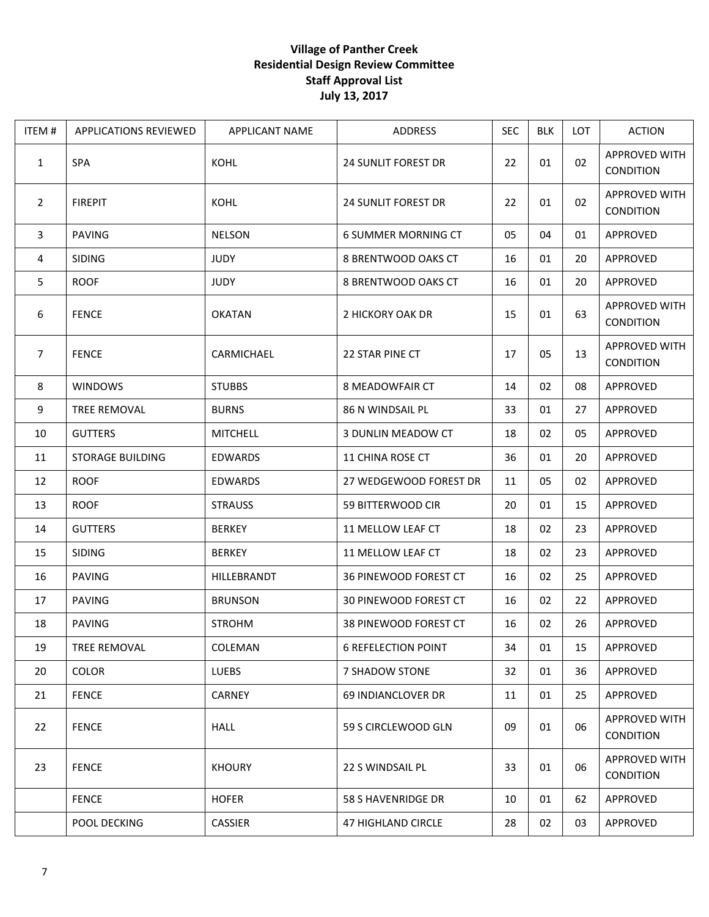## **Village of Panther Creek Residential Design Review Committee Staff Approval List July 13, 2017**

| ITEM#          | <b>APPLICATIONS REVIEWED</b> | <b>APPLICANT NAME</b> | <b>ADDRESS</b>             | <b>SEC</b> | <b>BLK</b> | LOT | <b>ACTION</b>                            |
|----------------|------------------------------|-----------------------|----------------------------|------------|------------|-----|------------------------------------------|
| $\mathbf{1}$   | <b>SPA</b>                   | KOHL                  | <b>24 SUNLIT FOREST DR</b> | 22         | 01         | 02  | APPROVED WITH<br><b>CONDITION</b>        |
| $\overline{2}$ | <b>FIREPIT</b>               | KOHL                  | <b>24 SUNLIT FOREST DR</b> | 22         | 01         | 02  | APPROVED WITH<br><b>CONDITION</b>        |
| 3              | <b>PAVING</b>                | <b>NELSON</b>         | <b>6 SUMMER MORNING CT</b> | 05         | 04         | 01  | APPROVED                                 |
| 4              | <b>SIDING</b>                | <b>JUDY</b>           | 8 BRENTWOOD OAKS CT        | 16         | 01         | 20  | APPROVED                                 |
| 5              | <b>ROOF</b>                  | <b>JUDY</b>           | 8 BRENTWOOD OAKS CT        | 16         | 01         | 20  | APPROVED                                 |
| 6              | <b>FENCE</b>                 | <b>OKATAN</b>         | 2 HICKORY OAK DR           | 15         | 01         | 63  | <b>APPROVED WITH</b><br><b>CONDITION</b> |
| $\overline{7}$ | <b>FENCE</b>                 | CARMICHAEL            | 22 STAR PINE CT            | 17         | 05         | 13  | <b>APPROVED WITH</b><br>CONDITION        |
| 8              | <b>WINDOWS</b>               | <b>STUBBS</b>         | 8 MEADOWFAIR CT            | 14         | 02         | 08  | APPROVED                                 |
| 9              | TREE REMOVAL                 | <b>BURNS</b>          | 86 N WINDSAIL PL           | 33         | 01         | 27  | APPROVED                                 |
| 10             | <b>GUTTERS</b>               | <b>MITCHELL</b>       | 3 DUNLIN MEADOW CT         | 18         | 02         | 05  | APPROVED                                 |
| 11             | <b>STORAGE BUILDING</b>      | <b>EDWARDS</b>        | <b>11 CHINA ROSE CT</b>    | 36         | 01         | 20  | APPROVED                                 |
| 12             | <b>ROOF</b>                  | <b>EDWARDS</b>        | 27 WEDGEWOOD FOREST DR     | 11         | 05         | 02  | APPROVED                                 |
| 13             | <b>ROOF</b>                  | <b>STRAUSS</b>        | 59 BITTERWOOD CIR          | 20         | 01         | 15  | APPROVED                                 |
| 14             | <b>GUTTERS</b>               | <b>BERKEY</b>         | 11 MELLOW LEAF CT          | 18         | 02         | 23  | APPROVED                                 |
| 15             | <b>SIDING</b>                | <b>BERKEY</b>         | 11 MELLOW LEAF CT          | 18         | 02         | 23  | APPROVED                                 |
| 16             | PAVING                       | HILLEBRANDT           | 36 PINEWOOD FOREST CT      | 16         | 02         | 25  | APPROVED                                 |
| 17             | <b>PAVING</b>                | <b>BRUNSON</b>        | 30 PINEWOOD FOREST CT      | 16         | 02         | 22  | APPROVED                                 |
| 18             | <b>PAVING</b>                | <b>STROHM</b>         | 38 PINEWOOD FOREST CT      | 16         | 02         | 26  | APPROVED                                 |
| 19             | TREE REMOVAL                 | COLEMAN               | <b>6 REFELECTION POINT</b> | 34         | 01         | 15  | APPROVED                                 |
| 20             | COLOR                        | <b>LUEBS</b>          | 7 SHADOW STONE             | 32         | 01         | 36  | APPROVED                                 |
| 21             | <b>FENCE</b>                 | <b>CARNEY</b>         | 69 INDIANCLOVER DR         | 11         | 01         | 25  | APPROVED                                 |
| 22             | <b>FENCE</b>                 | <b>HALL</b>           | 59 S CIRCLEWOOD GLN        | 09         | 01         | 06  | APPROVED WITH<br>CONDITION               |
| 23             | <b>FENCE</b>                 | <b>KHOURY</b>         | 22 S WINDSAIL PL           | 33         | 01         | 06  | <b>APPROVED WITH</b><br><b>CONDITION</b> |
|                | <b>FENCE</b>                 | <b>HOFER</b>          | 58 S HAVENRIDGE DR         | 10         | 01         | 62  | APPROVED                                 |
|                | POOL DECKING                 | CASSIER               | <b>47 HIGHLAND CIRCLE</b>  | 28         | 02         | 03  | APPROVED                                 |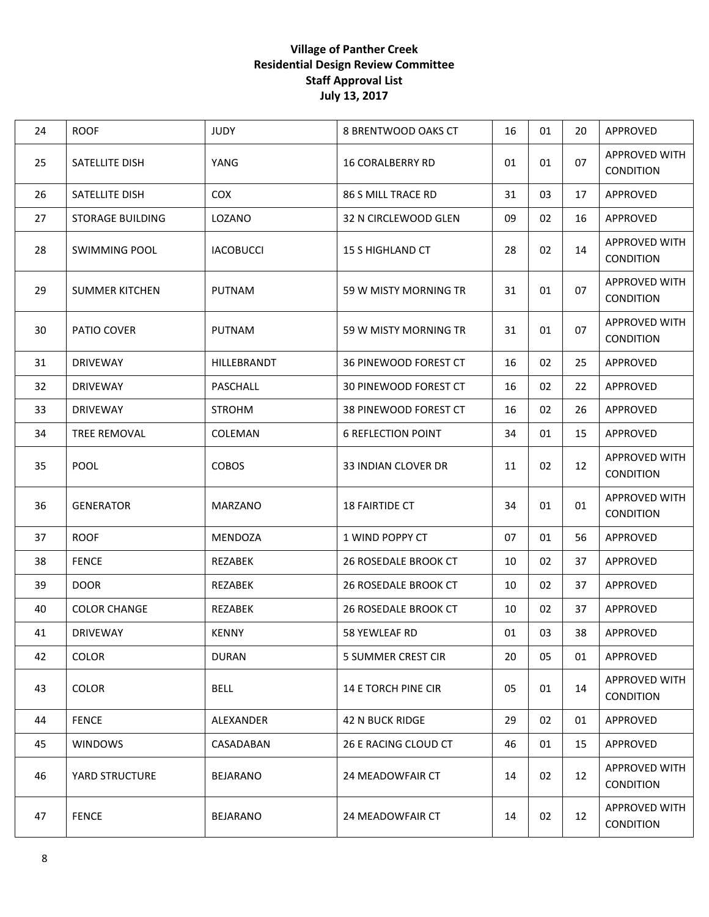## **Village of Panther Creek Residential Design Review Committee Staff Approval List July 13, 2017**

| 24 | <b>ROOF</b>           | <b>JUDY</b>      | 8 BRENTWOOD OAKS CT          | 16 | 01 | 20 | APPROVED                                 |
|----|-----------------------|------------------|------------------------------|----|----|----|------------------------------------------|
| 25 | SATELLITE DISH        | YANG             | <b>16 CORALBERRY RD</b>      | 01 | 01 | 07 | APPROVED WITH<br><b>CONDITION</b>        |
| 26 | SATELLITE DISH        | <b>COX</b>       | 86 S MILL TRACE RD           | 31 | 03 | 17 | APPROVED                                 |
| 27 | STORAGE BUILDING      | LOZANO           | 32 N CIRCLEWOOD GLEN         | 09 | 02 | 16 | APPROVED                                 |
| 28 | <b>SWIMMING POOL</b>  | <b>IACOBUCCI</b> | <b>15 S HIGHLAND CT</b>      | 28 | 02 | 14 | APPROVED WITH<br><b>CONDITION</b>        |
| 29 | <b>SUMMER KITCHEN</b> | <b>PUTNAM</b>    | 59 W MISTY MORNING TR        | 31 | 01 | 07 | APPROVED WITH<br>CONDITION               |
| 30 | PATIO COVER           | PUTNAM           | 59 W MISTY MORNING TR        | 31 | 01 | 07 | APPROVED WITH<br><b>CONDITION</b>        |
| 31 | <b>DRIVEWAY</b>       | HILLEBRANDT      | 36 PINEWOOD FOREST CT        | 16 | 02 | 25 | APPROVED                                 |
| 32 | <b>DRIVEWAY</b>       | PASCHALL         | <b>30 PINEWOOD FOREST CT</b> | 16 | 02 | 22 | APPROVED                                 |
| 33 | <b>DRIVEWAY</b>       | <b>STROHM</b>    | 38 PINEWOOD FOREST CT        | 16 | 02 | 26 | APPROVED                                 |
| 34 | <b>TREE REMOVAL</b>   | COLEMAN          | <b>6 REFLECTION POINT</b>    | 34 | 01 | 15 | APPROVED                                 |
| 35 | <b>POOL</b>           | <b>COBOS</b>     | 33 INDIAN CLOVER DR          | 11 | 02 | 12 | APPROVED WITH<br><b>CONDITION</b>        |
| 36 | <b>GENERATOR</b>      | <b>MARZANO</b>   | <b>18 FAIRTIDE CT</b>        | 34 | 01 | 01 | APPROVED WITH<br>CONDITION               |
| 37 | <b>ROOF</b>           | <b>MENDOZA</b>   | 1 WIND POPPY CT              | 07 | 01 | 56 | APPROVED                                 |
| 38 | <b>FENCE</b>          | <b>REZABEK</b>   | 26 ROSEDALE BROOK CT         | 10 | 02 | 37 | APPROVED                                 |
| 39 | <b>DOOR</b>           | REZABEK          | 26 ROSEDALE BROOK CT         | 10 | 02 | 37 | APPROVED                                 |
| 40 | <b>COLOR CHANGE</b>   | <b>REZABEK</b>   | <b>26 ROSEDALE BROOK CT</b>  | 10 | 02 | 37 | APPROVED                                 |
| 41 | <b>DRIVEWAY</b>       | <b>KENNY</b>     | 58 YEWLEAF RD                | 01 | 03 | 38 | APPROVED                                 |
| 42 | <b>COLOR</b>          | <b>DURAN</b>     | 5 SUMMER CREST CIR           | 20 | 05 | 01 | APPROVED                                 |
| 43 | <b>COLOR</b>          | <b>BELL</b>      | 14 E TORCH PINE CIR          | 05 | 01 | 14 | <b>APPROVED WITH</b><br><b>CONDITION</b> |
| 44 | <b>FENCE</b>          | ALEXANDER        | 42 N BUCK RIDGE              | 29 | 02 | 01 | APPROVED                                 |
| 45 | <b>WINDOWS</b>        | CASADABAN        | 26 E RACING CLOUD CT         | 46 | 01 | 15 | APPROVED                                 |
| 46 | YARD STRUCTURE        | <b>BEJARANO</b>  | 24 MEADOWFAIR CT             | 14 | 02 | 12 | <b>APPROVED WITH</b><br>CONDITION        |
| 47 | <b>FENCE</b>          | <b>BEJARANO</b>  | 24 MEADOWFAIR CT             | 14 | 02 | 12 | <b>APPROVED WITH</b><br><b>CONDITION</b> |